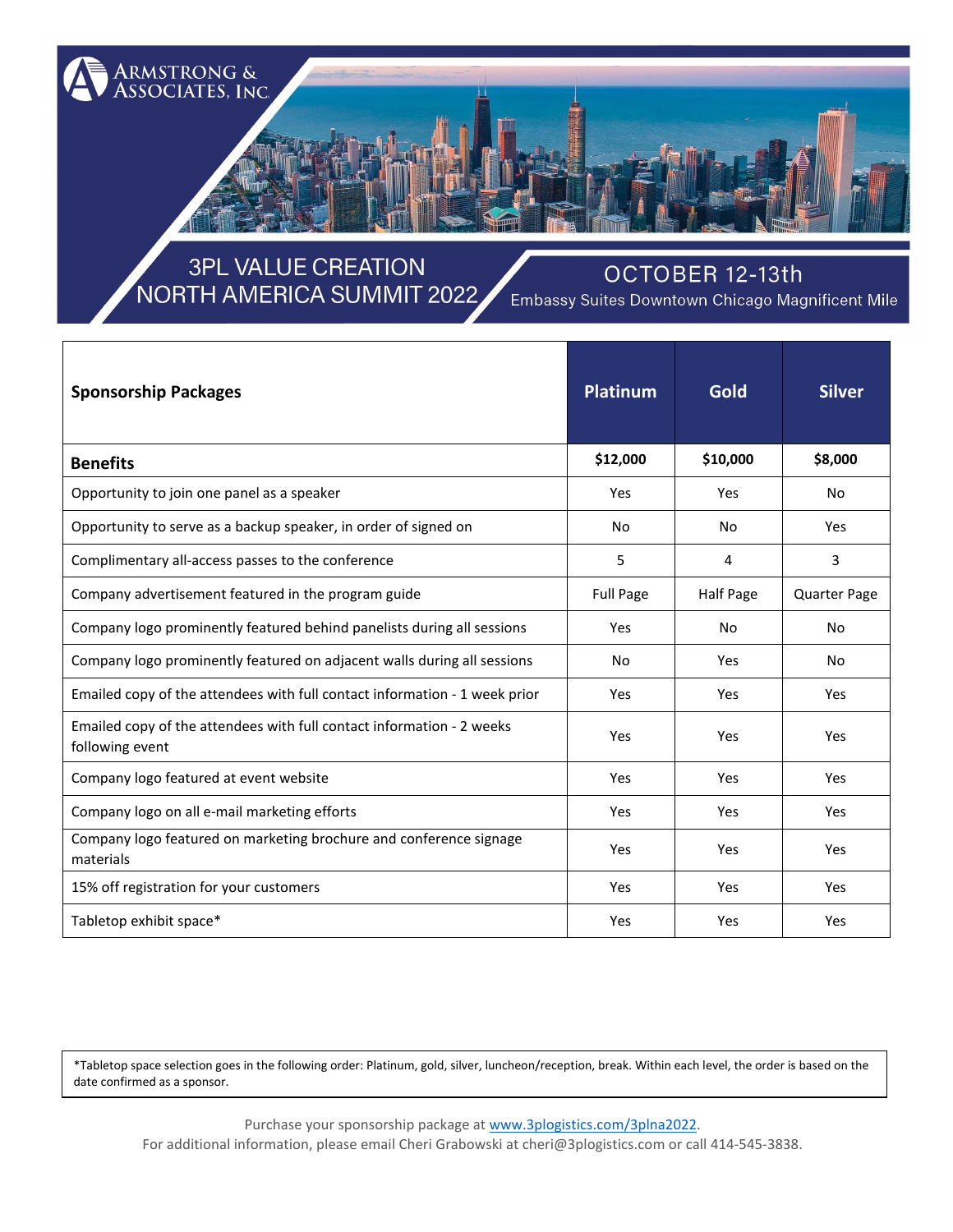

## **3PL VALUE CREATION** NORTH AMERICA SUMMIT 2022

#### OCTOBER 12-13th

Embassy Suites Downtown Chicago Magnificent Mile

| <b>Sponsorship Packages</b>                                                              | <b>Platinum</b>  | Gold      | <b>Silver</b>       |
|------------------------------------------------------------------------------------------|------------------|-----------|---------------------|
| <b>Benefits</b>                                                                          | \$12,000         | \$10,000  | \$8,000             |
| Opportunity to join one panel as a speaker                                               | Yes              | Yes       | No.                 |
| Opportunity to serve as a backup speaker, in order of signed on                          | No               | No        | Yes                 |
| Complimentary all-access passes to the conference                                        | 5                | 4         | $\overline{3}$      |
| Company advertisement featured in the program guide                                      | <b>Full Page</b> | Half Page | <b>Quarter Page</b> |
| Company logo prominently featured behind panelists during all sessions                   | Yes              | No        | No                  |
| Company logo prominently featured on adjacent walls during all sessions                  | No               | Yes       | <b>No</b>           |
| Emailed copy of the attendees with full contact information - 1 week prior               | Yes              | Yes       | Yes                 |
| Emailed copy of the attendees with full contact information - 2 weeks<br>following event | Yes              | Yes       | Yes                 |
| Company logo featured at event website                                                   | Yes              | Yes       | Yes                 |
| Company logo on all e-mail marketing efforts                                             | Yes              | Yes       | Yes                 |
| Company logo featured on marketing brochure and conference signage<br>materials          | Yes              | Yes       | Yes                 |
| 15% off registration for your customers                                                  | Yes              | Yes       | Yes                 |
| Tabletop exhibit space*                                                                  | Yes              | Yes       | Yes                 |

\*Tabletop space selection goes in the following order: Platinum, gold, silver, luncheon/reception, break. Within each level, the order is based on the date confirmed as a sponsor.

Purchase your sponsorship package a[t www.3plogistics.com/3plna2022.](http://www.3plogistics.com/3plna2022) For additional information, please email Cheri Grabowski at cheri@3plogistics.com or call 414-545-3838.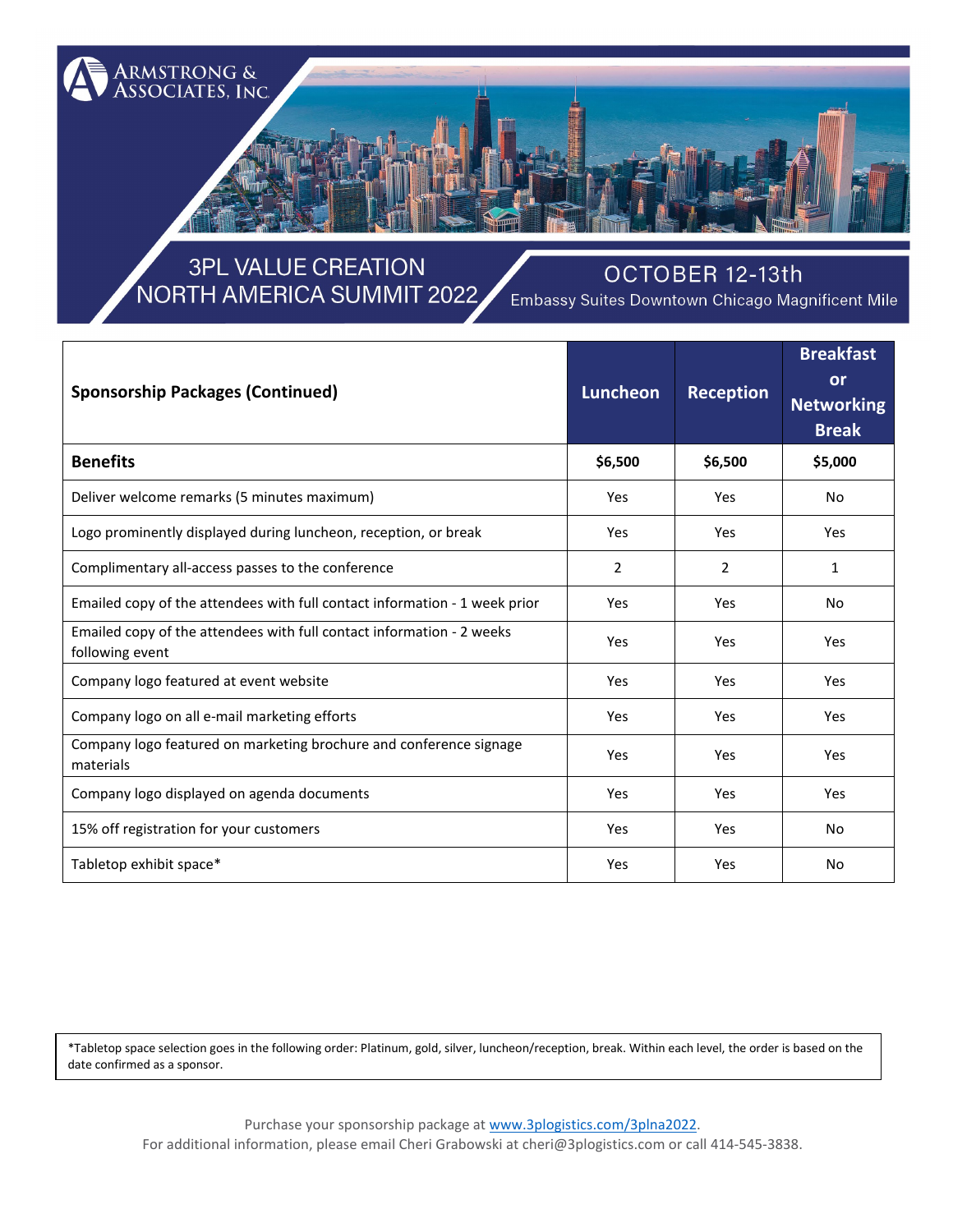

# **3PL VALUE CREATION** NORTH AMERICA SUMMIT 2022

#### OCTOBER 12-13th

Embassy Suites Downtown Chicago Magnificent Mile

| <b>Sponsorship Packages (Continued)</b>                                                  | <b>Luncheon</b> | <b>Reception</b> | <b>Breakfast</b><br>or<br><b>Networking</b><br><b>Break</b> |
|------------------------------------------------------------------------------------------|-----------------|------------------|-------------------------------------------------------------|
| <b>Benefits</b>                                                                          | \$6,500         | \$6,500          | \$5,000                                                     |
| Deliver welcome remarks (5 minutes maximum)                                              | Yes             | Yes              | No.                                                         |
| Logo prominently displayed during luncheon, reception, or break                          | Yes             | Yes              | Yes                                                         |
| Complimentary all-access passes to the conference                                        | $\overline{2}$  | 2                | 1                                                           |
| Emailed copy of the attendees with full contact information - 1 week prior               | Yes             | Yes              | <b>No</b>                                                   |
| Emailed copy of the attendees with full contact information - 2 weeks<br>following event | Yes             | Yes              | Yes                                                         |
| Company logo featured at event website                                                   | Yes             | Yes              | Yes                                                         |
| Company logo on all e-mail marketing efforts                                             | Yes             | Yes              | Yes                                                         |
| Company logo featured on marketing brochure and conference signage<br>materials          | Yes             | Yes              | Yes                                                         |
| Company logo displayed on agenda documents                                               | Yes             | Yes              | Yes                                                         |
| 15% off registration for your customers                                                  | Yes             | Yes              | N <sub>o</sub>                                              |
| Tabletop exhibit space*                                                                  | Yes             | Yes              | <b>No</b>                                                   |

\*Tabletop space selection goes in the following order: Platinum, gold, silver, luncheon/reception, break. Within each level, the order is based on the date confirmed as a sponsor.